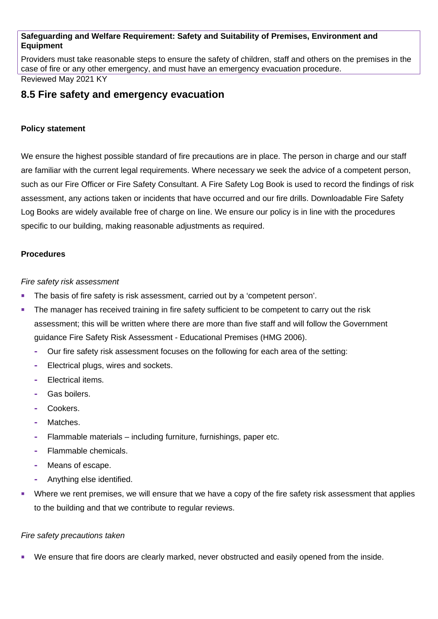#### **Safeguarding and Welfare Requirement: Safety and Suitability of Premises, Environment and Equipment**

Providers must take reasonable steps to ensure the safety of children, staff and others on the premises in the case of fire or any other emergency, and must have an emergency evacuation procedure. Reviewed May 2021 KY

## **8.5 Fire safety and emergency evacuation**

#### **Policy statement**

We ensure the highest possible standard of fire precautions are in place. The person in charge and our staff are familiar with the current legal requirements. Where necessary we seek the advice of a competent person, such as our Fire Officer or Fire Safety Consultant. A Fire Safety Log Book is used to record the findings of risk assessment, any actions taken or incidents that have occurred and our fire drills. Downloadable Fire Safety Log Books are widely available free of charge on line. We ensure our policy is in line with the procedures specific to our building, making reasonable adjustments as required.

#### **Procedures**

*Fire safety risk assessment*

- The basis of fire safety is risk assessment, carried out by a 'competent person'.
- The manager has received training in fire safety sufficient to be competent to carry out the risk assessment; this will be written where there are more than five staff and will follow the Government guidance Fire Safety Risk Assessment - Educational Premises (HMG 2006).
	- **-** Our fire safety risk assessment focuses on the following for each area of the setting:
	- **-** Electrical plugs, wires and sockets.
	- **-** Electrical items.
	- **-** Gas boilers.
	- **-** Cookers.
	- **-** Matches.
	- **-** Flammable materials including furniture, furnishings, paper etc.
	- **-** Flammable chemicals.
	- **-** Means of escape.
	- **-** Anything else identified.
- Where we rent premises, we will ensure that we have a copy of the fire safety risk assessment that applies to the building and that we contribute to regular reviews.

#### *Fire safety precautions taken*

We ensure that fire doors are clearly marked, never obstructed and easily opened from the inside.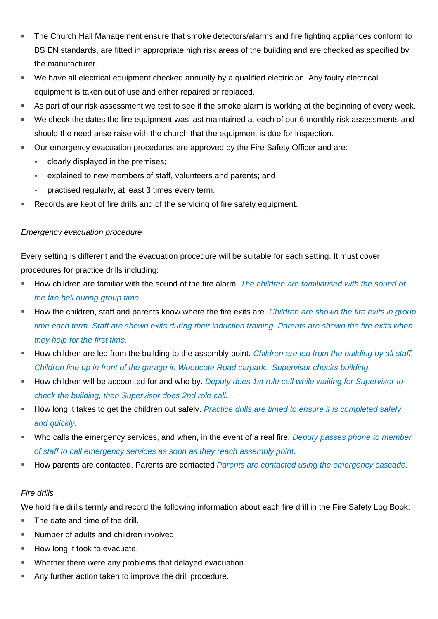- The Church Hall Management ensure that smoke detectors/alarms and fire fighting appliances conform to BS EN standards, are fitted in appropriate high risk areas of the building and are checked as specified by the manufacturer.
- We have all electrical equipment checked annually by a qualified electrician. Any faulty electrical equipment is taken out of use and either repaired or replaced.
- As part of our risk assessment we test to see if the smoke alarm is working at the beginning of every week.
- We check the dates the fire equipment was last maintained at each of our 6 monthly risk assessments and should the need arise raise with the church that the equipment is due for inspection.
- Our emergency evacuation procedures are approved by the Fire Safety Officer and are:
	- **-** clearly displayed in the premises;
	- **-** explained to new members of staff, volunteers and parents; and
	- **-** practised regularly, at least 3 times every term.
- Records are kept of fire drills and of the servicing of fire safety equipment.

### *Emergency evacuation procedure*

Every setting is different and the evacuation procedure will be suitable for each setting. It must cover procedures for practice drills including:

- How children are familiar with the sound of the fire alarm. *The children are familiarised with the sound of the fire bell during group time.*
- How the children, staff and parents know where the fire exits are. *Children are shown the fire exits in group time each term. Staff are shown exits during their induction training. Parents are shown the fire exits when they help for the first time.*
- How children are led from the building to the assembly point. *Children are led from the building by all staff. Children line up in front of the garage in Woodcote Road carpark. Supervisor checks building.*
- How children will be accounted for and who by. *Deputy does 1st role call while waiting for Supervisor to check the building, then Supervisor does 2nd role call.*
- How long it takes to get the children out safely. *Practice drills are timed to ensure it is completed safely and quickly.*
- Who calls the emergency services, and when, in the event of a real fire. *Deputy passes phone to member of staff to call emergency services as soon as they reach assembly point.*
- How parents are contacted. Parents are contacted *Parents are contacted using the emergency cascade.*

### *Fire drills*

We hold fire drills termly and record the following information about each fire drill in the Fire Safety Log Book:

- The date and time of the drill.
- Number of adults and children involved.
- How long it took to evacuate.
- Whether there were any problems that delayed evacuation.
- Any further action taken to improve the drill procedure.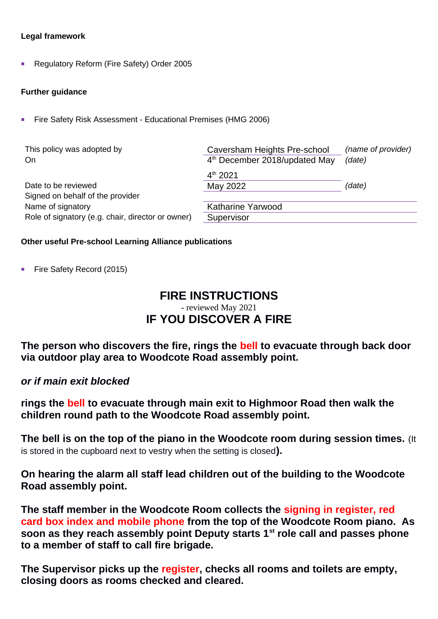#### **Legal framework**

Regulatory Reform (Fire Safety) Order 2005

#### **Further guidance**

Fire Safety Risk Assessment - Educational Premises (HMG 2006)

| This policy was adopted by<br>On                                       | Caversham Heights Pre-school<br>4 <sup>th</sup> December 2018/updated May | (name of provider)<br>(date) |
|------------------------------------------------------------------------|---------------------------------------------------------------------------|------------------------------|
| Date to be reviewed<br>Signed on behalf of the provider                | $4^{th}$ 2021<br>May 2022                                                 | (date)                       |
| Name of signatory<br>Role of signatory (e.g. chair, director or owner) | Katharine Yarwood<br>Supervisor                                           |                              |

#### **Other useful Pre-school Learning Alliance publications**

Fire Safety Record (2015)

# **FIRE INSTRUCTIONS** - reviewed May 2021 **IF YOU DISCOVER A FIRE**

**The person who discovers the fire, rings the bell to evacuate through back door via outdoor play area to Woodcote Road assembly point.**

*or if main exit blocked* 

**rings the bell to evacuate through main exit to Highmoor Road then walk the children round path to the Woodcote Road assembly point.** 

**The bell is on the top of the piano in the Woodcote room during session times.** (It is stored in the cupboard next to vestry when the setting is closed**).**

**On hearing the alarm all staff lead children out of the building to the Woodcote Road assembly point.**

**The staff member in the Woodcote Room collects the signing in register, red card box index and mobile phone from the top of the Woodcote Room piano. As soon as they reach assembly point Deputy starts 1st role call and passes phone to a member of staff to call fire brigade.**

**The Supervisor picks up the register, checks all rooms and toilets are empty, closing doors as rooms checked and cleared.**